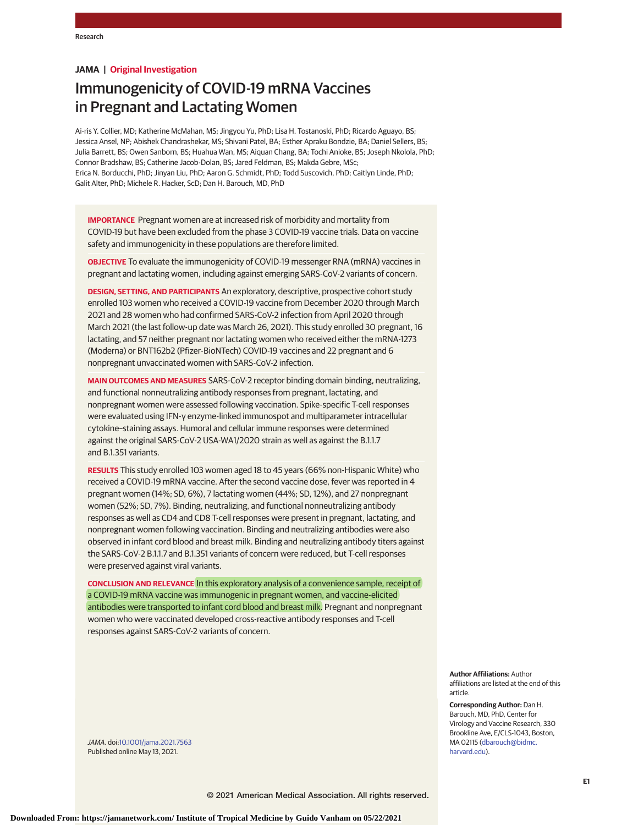# **JAMA | Original Investigation**

# Immunogenicity of COVID-19 mRNA Vaccines in Pregnant and Lactating Women

Ai-ris Y. Collier, MD; Katherine McMahan, MS; Jingyou Yu, PhD; Lisa H. Tostanoski, PhD; Ricardo Aguayo, BS; Jessica Ansel, NP; Abishek Chandrashekar, MS; Shivani Patel, BA; Esther Apraku Bondzie, BA; Daniel Sellers, BS; Julia Barrett, BS; Owen Sanborn, BS; Huahua Wan, MS; Aiquan Chang, BA; Tochi Anioke, BS; Joseph Nkolola, PhD; Connor Bradshaw, BS; Catherine Jacob-Dolan, BS; Jared Feldman, BS; Makda Gebre, MSc; Erica N. Borducchi, PhD; Jinyan Liu, PhD; Aaron G. Schmidt, PhD; Todd Suscovich, PhD; Caitlyn Linde, PhD; Galit Alter, PhD; Michele R. Hacker, ScD; Dan H. Barouch, MD, PhD

**IMPORTANCE** Pregnant women are at increased risk of morbidity and mortality from COVID-19 but have been excluded from the phase 3 COVID-19 vaccine trials. Data on vaccine safety and immunogenicity in these populations are therefore limited.

**OBJECTIVE** To evaluate the immunogenicity of COVID-19 messenger RNA (mRNA) vaccines in pregnant and lactating women, including against emerging SARS-CoV-2 variants of concern.

**DESIGN, SETTING, AND PARTICIPANTS** An exploratory, descriptive, prospective cohort study enrolled 103 women who received a COVID-19 vaccine from December 2020 through March 2021 and 28 women who had confirmed SARS-CoV-2 infection from April 2020 through March 2021 (the last follow-up date was March 26, 2021). This study enrolled 30 pregnant, 16 lactating, and 57 neither pregnant nor lactating women who received either the mRNA-1273 (Moderna) or BNT162b2 (Pfizer-BioNTech) COVID-19 vaccines and 22 pregnant and 6 nonpregnant unvaccinated women with SARS-CoV-2 infection.

**MAIN OUTCOMES AND MEASURES** SARS-CoV-2 receptor binding domain binding, neutralizing, and functional nonneutralizing antibody responses from pregnant, lactating, and nonpregnant women were assessed following vaccination. Spike-specific T-cell responses were evaluated using IFN-γ enzyme-linked immunospot and multiparameter intracellular cytokine–staining assays. Humoral and cellular immune responses were determined against the original SARS-CoV-2 USA-WA1/2020 strain as well as against the B.1.1.7 and B.1.351 variants.

**RESULTS** This study enrolled 103 women aged 18 to 45 years (66% non-Hispanic White) who received a COVID-19 mRNA vaccine. After the second vaccine dose, fever was reported in 4 pregnant women (14%; SD, 6%), 7 lactating women (44%; SD, 12%), and 27 nonpregnant women (52%; SD, 7%). Binding, neutralizing, and functional nonneutralizing antibody responses as well as CD4 and CD8 T-cell responses were present in pregnant, lactating, and nonpregnant women following vaccination. Binding and neutralizing antibodies were also observed in infant cord blood and breast milk. Binding and neutralizing antibody titers against the SARS-CoV-2 B.1.1.7 and B.1.351 variants of concern were reduced, but T-cell responses were preserved against viral variants.

**CONCLUSION AND RELEVANCE** In this exploratory analysis of a convenience sample, receipt of a COVID-19 mRNA vaccine was immunogenic in pregnant women, and vaccine-elicited antibodies were transported to infant cord blood and breast milk. Pregnant and nonpregnant women who were vaccinated developed cross-reactive antibody responses and T-cell responses against SARS-CoV-2 variants of concern.

JAMA. doi[:10.1001/jama.2021.7563](https://jamanetwork.com/journals/jama/fullarticle/10.1001/jama.2021.7563?utm_campaign=articlePDF%26utm_medium=articlePDFlink%26utm_source=articlePDF%26utm_content=jama.2021.7563) Published online May 13, 2021.

**Author Affiliations:** Author

**Corresponding Author:** Dan H. Barouch, MD, PhD, Center for Virology and Vaccine Research, 330 Brookline Ave, E/CLS-1043, Boston, MA 02115 [\(dbarouch@bidmc.](mailto:dbarouch@bidmc.harvard.edu) [harvard.edu\)](mailto:dbarouch@bidmc.harvard.edu).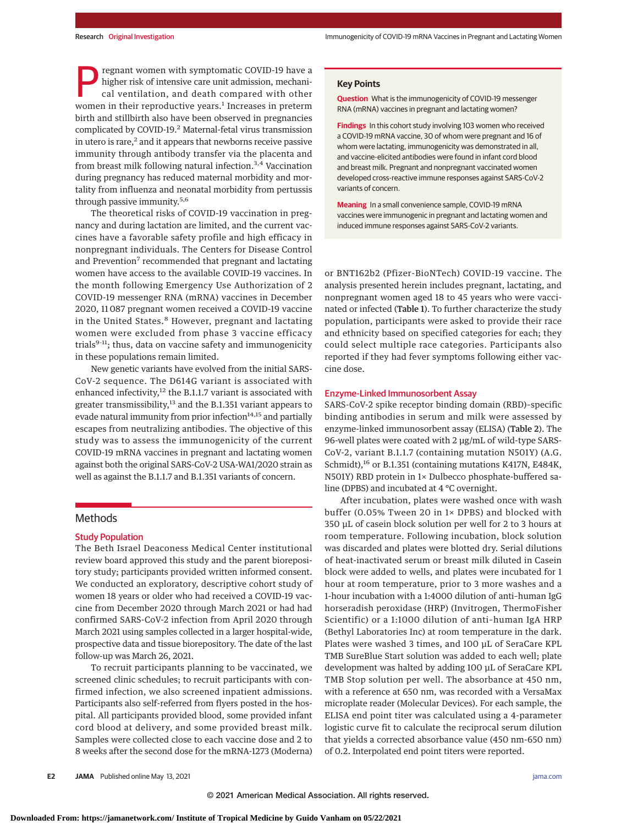regnant women with symptomatic COVID-19 have a higher risk of intensive care unit admission, mechanical ventilation, and death compared with other women in their reproductive years.<sup>1</sup> Increases in preterm birth and stillbirth also have been observed in pregnancies complicated by COVID-19.2 Maternal-fetal virus transmission in utero is rare, $^2$  and it appears that newborns receive passive immunity through antibody transfer via the placenta and from breast milk following natural infection.<sup>3,4</sup> Vaccination during pregnancy has reduced maternal morbidity and mortality from influenza and neonatal morbidity from pertussis through passive immunity.<sup>5,6</sup>

The theoretical risks of COVID-19 vaccination in pregnancy and during lactation are limited, and the current vaccines have a favorable safety profile and high efficacy in nonpregnant individuals. The Centers for Disease Control and Prevention<sup>7</sup> recommended that pregnant and lactating women have access to the available COVID-19 vaccines. In the month following Emergency Use Authorization of 2 COVID-19 messenger RNA (mRNA) vaccines in December 2020, 11 087 pregnant women received a COVID-19 vaccine in the United States.<sup>8</sup> However, pregnant and lactating women were excluded from phase 3 vaccine efficacy trials<sup>9-11</sup>; thus, data on vaccine safety and immunogenicity in these populations remain limited.

New genetic variants have evolved from the initial SARS-CoV-2 sequence. The D614G variant is associated with enhanced infectivity, $12$  the B.1.1.7 variant is associated with greater transmissibility,<sup>13</sup> and the B.1.351 variant appears to evade natural immunity from prior infection $14,15$  and partially escapes from neutralizing antibodies. The objective of this study was to assess the immunogenicity of the current COVID-19 mRNA vaccines in pregnant and lactating women against both the original SARS-CoV-2 USA-WA1/2020 strain as well as against the B.1.1.7 and B.1.351 variants of concern.

# **Methods**

## Study Population

The Beth Israel Deaconess Medical Center institutional review board approved this study and the parent biorepository study; participants provided written informed consent. We conducted an exploratory, descriptive cohort study of women 18 years or older who had received a COVID-19 vaccine from December 2020 through March 2021 or had had confirmed SARS-CoV-2 infection from April 2020 through March 2021 using samples collected in a larger hospital-wide, prospective data and tissue biorepository. The date of the last follow-up was March 26, 2021.

To recruit participants planning to be vaccinated, we screened clinic schedules; to recruit participants with confirmed infection, we also screened inpatient admissions. Participants also self-referred from flyers posted in the hospital. All participants provided blood, some provided infant cord blood at delivery, and some provided breast milk. Samples were collected close to each vaccine dose and 2 to 8 weeks after the second dose for the mRNA-1273 (Moderna)

# **Key Points**

**Question** What is the immunogenicity of COVID-19 messenger RNA (mRNA) vaccines in pregnant and lactating women?

**Findings** In this cohort study involving 103 women who received a COVID-19 mRNA vaccine, 30 of whom were pregnant and 16 of whom were lactating, immunogenicity was demonstrated in all, and vaccine-elicited antibodies were found in infant cord blood and breast milk. Pregnant and nonpregnant vaccinated women developed cross-reactive immune responses against SARS-CoV-2 variants of concern.

**Meaning** In a small convenience sample, COVID-19 mRNA vaccines were immunogenic in pregnant and lactating women and induced immune responses against SARS-CoV-2 variants.

or BNT162b2 (Pfizer-BioNTech) COVID-19 vaccine. The analysis presented herein includes pregnant, lactating, and nonpregnant women aged 18 to 45 years who were vaccinated or infected (Table 1). To further characterize the study population, participants were asked to provide their race and ethnicity based on specified categories for each; they could select multiple race categories. Participants also reported if they had fever symptoms following either vaccine dose.

#### Enzyme-Linked Immunosorbent Assay

SARS-CoV-2 spike receptor binding domain (RBD)–specific binding antibodies in serum and milk were assessed by enzyme-linked immunosorbent assay (ELISA) (Table 2). The 96-well plates were coated with 2 μg/mL of wild-type SARS-CoV-2, variant B.1.1.7 (containing mutation N501Y) (A.G. Schmidt),<sup>16</sup> or B.1.351 (containing mutations K417N, E484K, N501Y) RBD protein in 1× Dulbecco phosphate-buffered saline (DPBS) and incubated at 4 °C overnight.

After incubation, plates were washed once with wash buffer (0.05% Tween 20 in 1× DPBS) and blocked with 350 μL of casein block solution per well for 2 to 3 hours at room temperature. Following incubation, block solution was discarded and plates were blotted dry. Serial dilutions of heat-inactivated serum or breast milk diluted in Casein block were added to wells, and plates were incubated for 1 hour at room temperature, prior to 3 more washes and a 1-hour incubation with a 1:4000 dilution of anti–human IgG horseradish peroxidase (HRP) (Invitrogen, ThermoFisher Scientific) or a 1:1000 dilution of anti–human IgA HRP (Bethyl Laboratories Inc) at room temperature in the dark. Plates were washed 3 times, and 100 μL of SeraCare KPL TMB SureBlue Start solution was added to each well; plate development was halted by adding 100 μL of SeraCare KPL TMB Stop solution per well. The absorbance at 450 nm, with a reference at 650 nm, was recorded with a VersaMax microplate reader (Molecular Devices). For each sample, the ELISA end point titer was calculated using a 4-parameter logistic curve fit to calculate the reciprocal serum dilution that yields a corrected absorbance value (450 nm-650 nm) of 0.2. Interpolated end point titers were reported.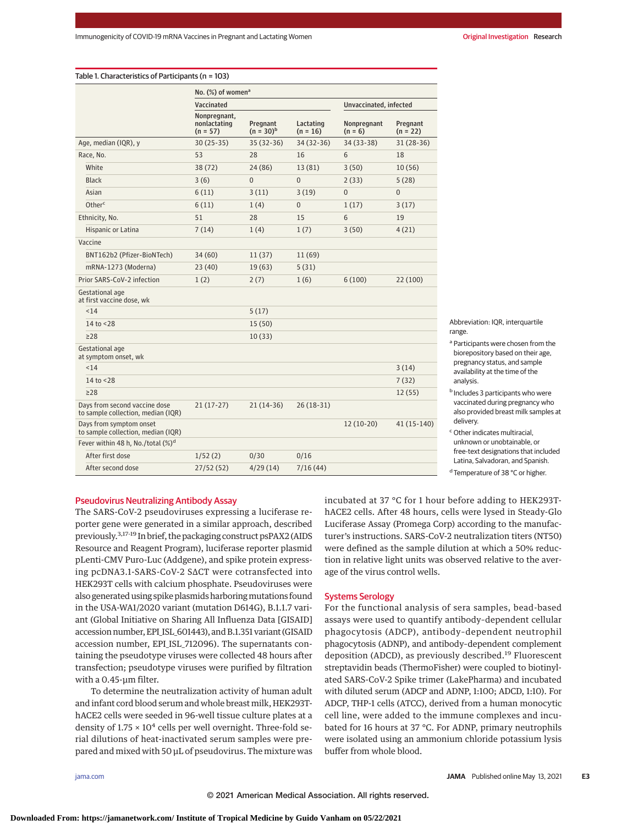Table 1. Characteristics of Participants (n = 103)

|                                                                     |                                               | No. (%) of women <sup>a</sup>              |                            |                         |                          |                        |  |
|---------------------------------------------------------------------|-----------------------------------------------|--------------------------------------------|----------------------------|-------------------------|--------------------------|------------------------|--|
|                                                                     |                                               | Vaccinated                                 |                            |                         | Unvaccinated, infected   |                        |  |
|                                                                     |                                               | Nonpregnant,<br>nonlactating<br>$(n = 57)$ | Pregnant<br>$(n = 30)^{b}$ | Lactating<br>$(n = 16)$ | Nonpregnant<br>$(n = 6)$ | Pregnant<br>$(n = 22)$ |  |
|                                                                     | Age, median (IQR), y                          | $30(25-35)$                                | $35(32-36)$                | 34 (32-36)              | 34 (33-38)               | $31(28-36)$            |  |
| Race, No.                                                           |                                               | 53                                         | 28                         | 16                      | 6                        | 18                     |  |
|                                                                     | White                                         | 38(72)                                     | 24 (86)                    | 13 (81)                 | 3(50)                    | 10(56)                 |  |
|                                                                     | Black                                         | 3(6)                                       | $\overline{0}$             | $\overline{0}$          | 2(33)                    | 5(28)                  |  |
|                                                                     | Asian                                         | 6(11)                                      | 3(11)                      | 3(19)                   | $\overline{0}$           | $\overline{0}$         |  |
|                                                                     | Other <sup>c</sup>                            | 6(11)                                      | 1(4)                       | $\overline{0}$          | 1(17)                    | 3(17)                  |  |
|                                                                     | Ethnicity, No.                                | 51                                         | 28                         | 15                      | 6                        | 19                     |  |
|                                                                     | Hispanic or Latina                            | 7(14)                                      | 1(4)                       | 1(7)                    | 3(50)                    | 4(21)                  |  |
|                                                                     | Vaccine                                       |                                            |                            |                         |                          |                        |  |
|                                                                     | BNT162b2 (Pfizer-BioNTech)                    | 34(60)                                     | 11(37)                     | 11 (69)                 |                          |                        |  |
|                                                                     | mRNA-1273 (Moderna)                           | 23(40)                                     | 19(63)                     | 5(31)                   |                          |                        |  |
|                                                                     | Prior SARS-CoV-2 infection                    | 1(2)                                       | 2(7)                       | 1(6)                    | 6(100)                   | 22(100)                |  |
| Gestational age<br>at first vaccine dose, wk                        |                                               |                                            |                            |                         |                          |                        |  |
|                                                                     | < 14                                          |                                            | 5(17)                      |                         |                          |                        |  |
|                                                                     | 14 to <28                                     |                                            | 15(50)                     |                         |                          |                        |  |
|                                                                     | $\geq$ 28                                     |                                            | 10(33)                     |                         |                          |                        |  |
|                                                                     | Gestational age<br>at symptom onset, wk       |                                            |                            |                         |                          |                        |  |
|                                                                     | < 14                                          |                                            |                            |                         |                          | 3(14)                  |  |
|                                                                     | 14 to < 28                                    |                                            |                            |                         |                          | 7(32)                  |  |
|                                                                     | $\geq$ 28                                     |                                            |                            |                         |                          | 12(55)                 |  |
| Days from second vaccine dose<br>to sample collection, median (IQR) |                                               | $21(17-27)$                                | $21(14-36)$                | $26(18-31)$             |                          |                        |  |
| Days from symptom onset<br>to sample collection, median (IQR)       |                                               |                                            |                            |                         | $12(10-20)$              | 41 (15-140)            |  |
|                                                                     | Fever within 48 h, No./total (%) <sup>d</sup> |                                            |                            |                         |                          |                        |  |
|                                                                     | After first dose                              | 1/52(2)                                    | 0/30                       | 0/16                    |                          |                        |  |
|                                                                     | After second dose                             | 27/52(52)                                  | 4/29(14)                   | 7/16(44)                |                          |                        |  |

Abbreviation: IOR, interquartile range.

<sup>a</sup> Participants were chosen from the biorepository based on their age, pregnancy status, and sample availability at the time of the analysis.

<sup>b</sup> Includes 3 participants who were vaccinated during pregnancy who also provided breast milk samples at delivery.

<sup>c</sup> Other indicates multiracial, unknown or unobtainable, or free-text designations that included Latina, Salvadoran, and Spanish. <sup>d</sup> Temperature of 38 °C or higher.

#### Pseudovirus Neutralizing Antibody Assay

The SARS-CoV-2 pseudoviruses expressing a luciferase reporter gene were generated in a similar approach, described previously.3,17-19 In brief, the packaging construct psPAX2 (AIDS Resource and Reagent Program), luciferase reporter plasmid pLenti-CMV Puro-Luc (Addgene), and spike protein expressing pcDNA3.1-SARS-CoV-2 SΔCT were cotransfected into HEK293T cells with calcium phosphate. Pseudoviruses were also generated using spike plasmids harboring mutations found in the USA-WA1/2020 variant (mutation D614G), B.1.1.7 variant (Global Initiative on Sharing All Influenza Data [GISAID] accession number, EPI\_ISL\_601443), and B.1.351 variant (GISAID accession number, EPI\_ISL\_712096). The supernatants containing the pseudotype viruses were collected 48 hours after transfection; pseudotype viruses were purified by filtration with a 0.45-μm filter.

To determine the neutralization activity of human adult and infant cord blood serum and whole breast milk, HEK293ThACE2 cells were seeded in 96-well tissue culture plates at a density of  $1.75 \times 10^4$  cells per well overnight. Three-fold serial dilutions of heat-inactivated serum samples were prepared and mixed with 50 μL of pseudovirus. The mixture was incubated at 37 °C for 1 hour before adding to HEK293ThACE2 cells. After 48 hours, cells were lysed in Steady-Glo Luciferase Assay (Promega Corp) according to the manufacturer's instructions. SARS-CoV-2 neutralization titers (NT50) were defined as the sample dilution at which a 50% reduction in relative light units was observed relative to the average of the virus control wells.

#### Systems Serology

For the functional analysis of sera samples, bead-based assays were used to quantify antibody–dependent cellular phagocytosis (ADCP), antibody–dependent neutrophil phagocytosis (ADNP), and antibody–dependent complement deposition (ADCD), as previously described.<sup>19</sup> Fluorescent streptavidin beads (ThermoFisher) were coupled to biotinylated SARS-CoV-2 Spike trimer (LakePharma) and incubated with diluted serum (ADCP and ADNP, 1:100; ADCD, 1:10). For ADCP, THP-1 cells (ATCC), derived from a human monocytic cell line, were added to the immune complexes and incubated for 16 hours at 37 °C. For ADNP, primary neutrophils were isolated using an ammonium chloride potassium lysis buffer from whole blood.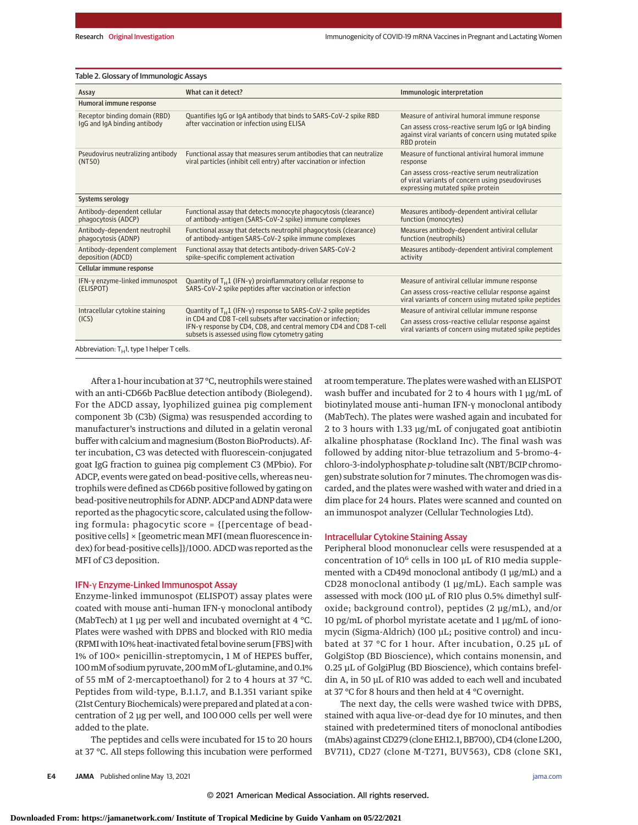|  |  |  |  |  |  |  |  |  |  | Table 2. Glossary of Immunologic Assays |  |
|--|--|--|--|--|--|--|--|--|--|-----------------------------------------|--|
|--|--|--|--|--|--|--|--|--|--|-----------------------------------------|--|

| Assay                                                | What can it detect?                                                                                                                                                                   | Immunologic interpretation                                                                                                             |  |  |  |  |
|------------------------------------------------------|---------------------------------------------------------------------------------------------------------------------------------------------------------------------------------------|----------------------------------------------------------------------------------------------------------------------------------------|--|--|--|--|
| Humoral immune response                              |                                                                                                                                                                                       |                                                                                                                                        |  |  |  |  |
| Receptor binding domain (RBD)                        | Quantifies IgG or IgA antibody that binds to SARS-CoV-2 spike RBD                                                                                                                     | Measure of antiviral humoral immune response                                                                                           |  |  |  |  |
| lgG and lgA binding antibody                         | after vaccination or infection using ELISA                                                                                                                                            | Can assess cross-reactive serum IgG or IgA binding<br>against viral variants of concern using mutated spike<br>RBD protein             |  |  |  |  |
| Pseudovirus neutralizing antibody<br>(NT50)          | Functional assay that measures serum antibodies that can neutralize<br>viral particles (inhibit cell entry) after vaccination or infection                                            | Measure of functional antiviral humoral immune<br>response                                                                             |  |  |  |  |
|                                                      |                                                                                                                                                                                       | Can assess cross-reactive serum neutralization<br>of viral variants of concern using pseudoviruses<br>expressing mutated spike protein |  |  |  |  |
| Systems serology                                     |                                                                                                                                                                                       |                                                                                                                                        |  |  |  |  |
| Antibody-dependent cellular<br>phagocytosis (ADCP)   | Functional assay that detects monocyte phagocytosis (clearance)<br>of antibody-antigen (SARS-CoV-2 spike) immune complexes                                                            | Measures antibody-dependent antiviral cellular<br>function (monocytes)                                                                 |  |  |  |  |
| Antibody-dependent neutrophil<br>phagocytosis (ADNP) | Functional assay that detects neutrophil phagocytosis (clearance)<br>of antibody-antigen SARS-CoV-2 spike immune complexes                                                            | Measures antibody-dependent antiviral cellular<br>function (neutrophils)                                                               |  |  |  |  |
| Antibody-dependent complement<br>deposition (ADCD)   | Functional assay that detects antibody-driven SARS-CoV-2<br>spike-specific complement activation                                                                                      | Measures antibody-dependent antiviral complement<br>activity                                                                           |  |  |  |  |
| Cellular immune response                             |                                                                                                                                                                                       |                                                                                                                                        |  |  |  |  |
| IFN-y enzyme-linked immunospot                       | Quantity of $T_H1$ (IFN-y) proinflammatory cellular response to                                                                                                                       | Measure of antiviral cellular immune response                                                                                          |  |  |  |  |
| (ELISPOT)                                            | SARS-CoV-2 spike peptides after vaccination or infection                                                                                                                              | Can assess cross-reactive cellular response against<br>viral variants of concern using mutated spike peptides                          |  |  |  |  |
| Intracellular cytokine staining                      | Quantity of $T_H1$ (IFN-y) response to SARS-CoV-2 spike peptides                                                                                                                      | Measure of antiviral cellular immune response                                                                                          |  |  |  |  |
| (ICS)                                                | in CD4 and CD8 T-cell subsets after vaccination or infection;<br>IFN-y response by CD4, CD8, and central memory CD4 and CD8 T-cell<br>subsets is assessed using flow cytometry gating | Can assess cross-reactive cellular response against<br>viral variants of concern using mutated spike peptides                          |  |  |  |  |
| Abbreviation: $T_H$ 1, type 1 helper T cells.        |                                                                                                                                                                                       |                                                                                                                                        |  |  |  |  |

After a 1-hour incubation at 37 °C, neutrophils were stained with an anti-CD66b PacBlue detection antibody (Biolegend). For the ADCD assay, lyophilized guinea pig complement component 3b (C3b) (Sigma) was resuspended according to manufacturer's instructions and diluted in a gelatin veronal buffer with calcium and magnesium (Boston BioProducts). After incubation, C3 was detected with fluorescein-conjugated goat IgG fraction to guinea pig complement C3 (MPbio). For ADCP, events were gated on bead-positive cells, whereas neutrophils were defined as CD66b positive followed by gating on bead-positive neutrophils for ADNP. ADCP and ADNP data were reported as the phagocytic score, calculated using the following formula: phagocytic score = {[percentage of beadpositive cells] × [geometric mean MFI (mean fluorescence index) for bead-positive cells]}/1000. ADCD was reported as the MFI of C3 deposition.

#### IFN-γ Enzyme-Linked Immunospot Assay

Enzyme-linked immunospot (ELISPOT) assay plates were coated with mouse anti–human IFN-γ monoclonal antibody (MabTech) at 1 µg per well and incubated overnight at 4  $\degree$ C. Plates were washed with DPBS and blocked with R10 media (RPMI with 10% heat-inactivated fetal bovine serum [FBS] with 1% of 100× penicillin-streptomycin, 1 M of HEPES buffer, 100mM of sodium pyruvate, 200mM of L-glutamine, and 0.1% of 55 mM of 2-mercaptoethanol) for 2 to 4 hours at 37 °C. Peptides from wild-type, B.1.1.7, and B.1.351 variant spike (21st Century Biochemicals) were prepared and plated at a concentration of 2 μg per well, and 100 000 cells per well were added to the plate.

The peptides and cells were incubated for 15 to 20 hours at 37 °C. All steps following this incubation were performed at room temperature. The plates were washed with an ELISPOT wash buffer and incubated for 2 to 4 hours with 1 μg/mL of biotinylated mouse anti–human IFN-γ monoclonal antibody (MabTech). The plates were washed again and incubated for 2 to 3 hours with 1.33 μg/mL of conjugated goat antibiotin alkaline phosphatase (Rockland Inc). The final wash was followed by adding nitor-blue tetrazolium and 5-bromo-4 chloro-3-indolyphosphate *p*-toludine salt (NBT/BCIP chromogen) substrate solution for 7 minutes. The chromogen was discarded, and the plates were washed with water and dried in a dim place for 24 hours. Plates were scanned and counted on an immunospot analyzer (Cellular Technologies Ltd).

## Intracellular Cytokine Staining Assay

Peripheral blood mononuclear cells were resuspended at a concentration of 10<sup>6</sup> cells in 100 μL of R10 media supplemented with a CD49d monoclonal antibody (1 μg/mL) and a CD28 monoclonal antibody (1 μg/mL). Each sample was assessed with mock (100 μL of R10 plus 0.5% dimethyl sulfoxide; background control), peptides (2 μg/mL), and/or 10 pg/mL of phorbol myristate acetate and 1 μg/mL of ionomycin (Sigma-Aldrich) (100 μL; positive control) and incubated at 37 °C for 1 hour. After incubation, 0.25 μL of GolgiStop (BD Bioscience), which contains monensin, and 0.25 μL of GolgiPlug (BD Bioscience), which contains brefeldin A, in 50 μL of R10 was added to each well and incubated at 37 °C for 8 hours and then held at 4 °C overnight.

The next day, the cells were washed twice with DPBS, stained with aqua live-or-dead dye for 10 minutes, and then stained with predetermined titers of monoclonal antibodies (mAbs) against CD279 (clone EH12.1, BB700), CD4 (clone L200, BV711), CD27 (clone M-T271, BUV563), CD8 (clone SK1,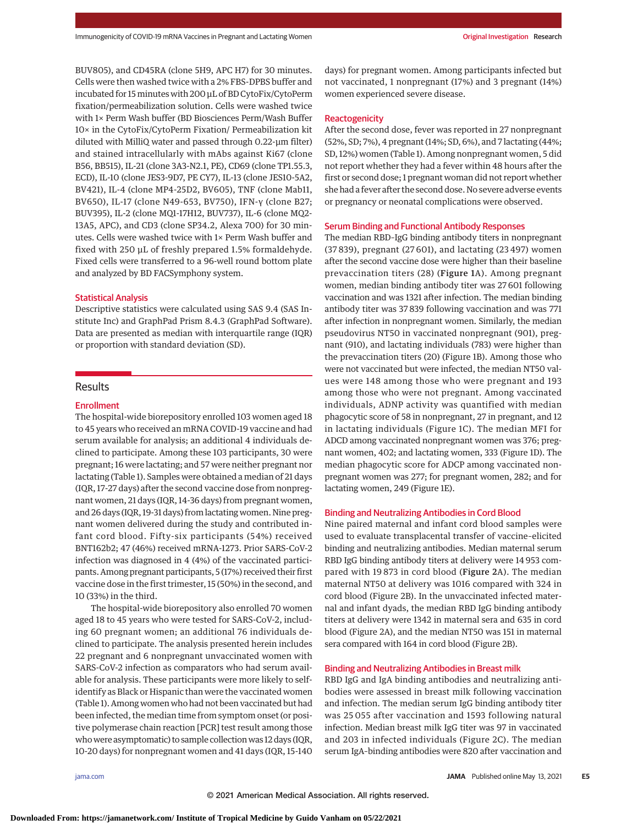BUV805), and CD45RA (clone 5H9, APC H7) for 30 minutes. Cells were then washed twice with a 2% FBS-DPBS buffer and incubated for 15minutes with 200 μL of BD CytoFix/CytoPerm fixation/permeabilization solution. Cells were washed twice with 1× Perm Wash buffer (BD Biosciences Perm/Wash Buffer 10× in the CytoFix/CytoPerm Fixation/ Permeabilization kit diluted with MilliQ water and passed through 0.22-μm filter) and stained intracellularly with mAbs against Ki67 (clone B56, BB515), IL-21 (clone 3A3-N2.1, PE), CD69 (clone TP1.55.3, ECD), IL-10 (clone JES3-9D7, PE CY7), IL-13 (clone JES10-5A2, BV421), IL-4 (clone MP4-25D2, BV605), TNF (clone Mab11, BV650), IL-17 (clone N49-653, BV750), IFN-γ (clone B27; BUV395), IL-2 (clone MQ1-17H12, BUV737), IL-6 (clone MQ2- 13A5, APC), and CD3 (clone SP34.2, Alexa 700) for 30 minutes. Cells were washed twice with 1× Perm Wash buffer and fixed with 250 μL of freshly prepared 1.5% formaldehyde. Fixed cells were transferred to a 96-well round bottom plate and analyzed by BD FACSymphony system.

# Statistical Analysis

Descriptive statistics were calculated using SAS 9.4 (SAS Institute Inc) and GraphPad Prism 8.4.3 (GraphPad Software). Data are presented as median with interquartile range (IQR) or proportion with standard deviation (SD).

# **Results**

## **Enrollment**

The hospital-wide biorepository enrolled 103 women aged 18 to 45 years who received an mRNA COVID-19 vaccine and had serum available for analysis; an additional 4 individuals declined to participate. Among these 103 participants, 30 were pregnant; 16 were lactating; and 57 were neither pregnant nor lactating (Table 1). Samples were obtained a median of 21 days (IQR, 17-27 days) after the second vaccine dose from nonpregnant women, 21 days (IQR, 14-36 days) from pregnant women, and 26 days (IQR, 19-31 days) from lactating women. Nine pregnant women delivered during the study and contributed infant cord blood. Fifty-six participants (54%) received BNT162b2; 47 (46%) received mRNA-1273. Prior SARS-CoV-2 infection was diagnosed in 4 (4%) of the vaccinated participants. Among pregnant participants, 5 (17%) received their first vaccine dose in the first trimester, 15 (50%) in the second, and 10 (33%) in the third.

The hospital-wide biorepository also enrolled 70 women aged 18 to 45 years who were tested for SARS-CoV-2, including 60 pregnant women; an additional 76 individuals declined to participate. The analysis presented herein includes 22 pregnant and 6 nonpregnant unvaccinated women with SARS-CoV-2 infection as comparators who had serum available for analysis. These participants were more likely to selfidentify as Black or Hispanic than were the vaccinated women (Table 1). Among women who had not been vaccinated but had been infected, the median time from symptom onset (or positive polymerase chain reaction [PCR] test result among those who were asymptomatic) to sample collection was 12 days (IQR, 10-20 days) for nonpregnant women and 41 days (IQR, 15-140

days) for pregnant women. Among participants infected but not vaccinated, 1 nonpregnant (17%) and 3 pregnant (14%) women experienced severe disease.

# **Reactogenicity**

After the second dose, fever was reported in 27 nonpregnant (52%, SD; 7%), 4 pregnant (14%; SD, 6%), and 7 lactating (44%; SD, 12%) women (Table 1). Among nonpregnant women, 5 did not report whether they had a fever within 48 hours after the first or second dose; 1 pregnant woman did not report whether she had a fever after the second dose. No severe adverse events or pregnancy or neonatal complications were observed.

#### Serum Binding and Functional Antibody Responses

The median RBD–IgG binding antibody titers in nonpregnant (37 839), pregnant (27 601), and lactating (23 497) women after the second vaccine dose were higher than their baseline prevaccination titers (28) (Figure 1A). Among pregnant women, median binding antibody titer was 27 601 following vaccination and was 1321 after infection. The median binding antibody titer was 37 839 following vaccination and was 771 after infection in nonpregnant women. Similarly, the median pseudovirus NT50 in vaccinated nonpregnant (901), pregnant (910), and lactating individuals (783) were higher than the prevaccination titers (20) (Figure 1B). Among those who were not vaccinated but were infected, the median NT50 values were 148 among those who were pregnant and 193 among those who were not pregnant. Among vaccinated individuals, ADNP activity was quantified with median phagocytic score of 58 in nonpregnant, 27 in pregnant, and 12 in lactating individuals (Figure 1C). The median MFI for ADCD among vaccinated nonpregnant women was 376; pregnant women, 402; and lactating women, 333 (Figure 1D). The median phagocytic score for ADCP among vaccinated nonpregnant women was 277; for pregnant women, 282; and for lactating women, 249 (Figure 1E).

#### Binding and Neutralizing Antibodies in Cord Blood

Nine paired maternal and infant cord blood samples were used to evaluate transplacental transfer of vaccine–elicited binding and neutralizing antibodies. Median maternal serum RBD IgG binding antibody titers at delivery were 14 953 compared with 19 873 in cord blood (Figure 2A). The median maternal NT50 at delivery was 1016 compared with 324 in cord blood (Figure 2B). In the unvaccinated infected maternal and infant dyads, the median RBD IgG binding antibody titers at delivery were 1342 in maternal sera and 635 in cord blood (Figure 2A), and the median NT50 was 151 in maternal sera compared with 164 in cord blood (Figure 2B).

## Binding and Neutralizing Antibodies in Breast milk

RBD IgG and IgA binding antibodies and neutralizing antibodies were assessed in breast milk following vaccination and infection. The median serum IgG binding antibody titer was 25 055 after vaccination and 1593 following natural infection. Median breast milk IgG titer was 97 in vaccinated and 203 in infected individuals (Figure 2C). The median serum IgA–binding antibodies were 820 after vaccination and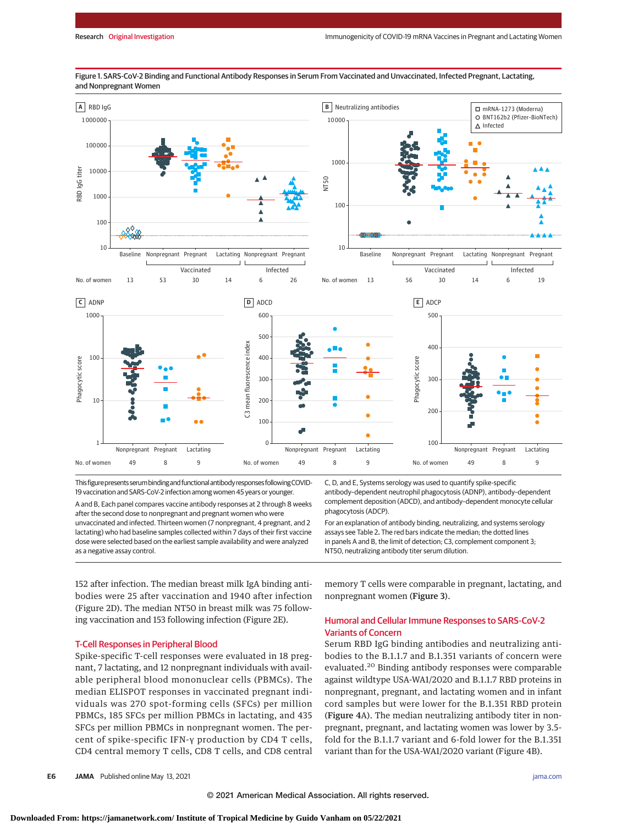

Figure 1. SARS-CoV-2 Binding and Functional Antibody Responses in Serum From Vaccinated and Unvaccinated, Infected Pregnant, Lactating, and Nonpregnant Women

This figurepresentsserumbindingand functionalantibody responses followingCOVID-19 vaccination and SARS-CoV-2 infection among women 45 years or younger.

A and B, Each panel compares vaccine antibody responses at 2 through 8 weeks after the second dose to nonpregnant and pregnant women who were unvaccinated and infected. Thirteen women (7 nonpregnant, 4 pregnant, and 2 lactating) who had baseline samples collected within 7 days of their first vaccine dose were selected based on the earliest sample availability and were analyzed as a negative assay control.

C, D, and E, Systems serology was used to quantify spike-specific antibody–dependent neutrophil phagocytosis (ADNP), antibody–dependent complement deposition (ADCD), and antibody–dependent monocyte cellular phagocytosis (ADCP).

For an explanation of antibody binding, neutralizing, and systems serology assays see Table 2**.** The red bars indicate the median; the dotted lines in panels A and B, the limit of detection; C3, complement component 3; NT50, neutralizing antibody titer serum dilution.

152 after infection. The median breast milk IgA binding antibodies were 25 after vaccination and 1940 after infection (Figure 2D). The median NT50 in breast milk was 75 following vaccination and 153 following infection (Figure 2E).

### T-Cell Responses in Peripheral Blood

Spike-specific T-cell responses were evaluated in 18 pregnant, 7 lactating, and 12 nonpregnant individuals with available peripheral blood mononuclear cells (PBMCs). The median ELISPOT responses in vaccinated pregnant individuals was 270 spot-forming cells (SFCs) per million PBMCs, 185 SFCs per million PBMCs in lactating, and 435 SFCs per million PBMCs in nonpregnant women. The percent of spike-specific IFN-γ production by CD4 T cells, CD4 central memory T cells, CD8 T cells, and CD8 central memory T cells were comparable in pregnant, lactating, and nonpregnant women (Figure 3).

# Humoral and Cellular Immune Responses to SARS-CoV-2 Variants of Concern

Serum RBD IgG binding antibodies and neutralizing antibodies to the B.1.1.7 and B.1.351 variants of concern were evaluated.<sup>20</sup> Binding antibody responses were comparable against wildtype USA-WA1/2020 and B.1.1.7 RBD proteins in nonpregnant, pregnant, and lactating women and in infant cord samples but were lower for the B.1.351 RBD protein (Figure 4A). The median neutralizing antibody titer in nonpregnant, pregnant, and lactating women was lower by 3.5 fold for the B.1.1.7 variant and 6-fold lower for the B.1.351 variant than for the USA-WA1/2020 variant (Figure 4B).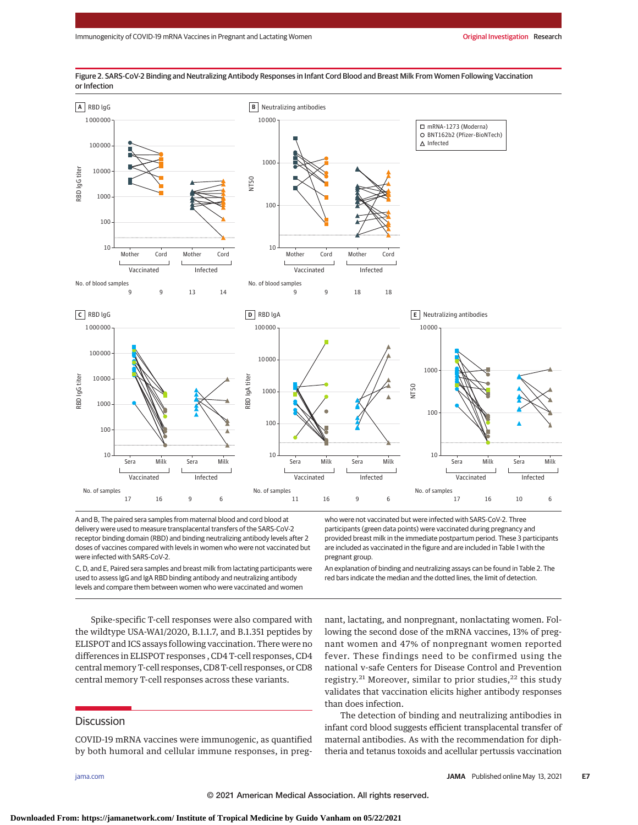

Figure 2. SARS-CoV-2 Binding and Neutralizing Antibody Responses in Infant Cord Blood and Breast Milk From Women Following Vaccination or Infection

A and B, The paired sera samples from maternal blood and cord blood at delivery were used to measure transplacental transfers of the SARS-CoV-2 receptor binding domain (RBD) and binding neutralizing antibody levels after 2 doses of vaccines compared with levels in women who were not vaccinated but were infected with SARS-CoV-2.

C, D, and E, Paired sera samples and breast milk from lactating participants were used to assess IgG and IgA RBD binding antibody and neutralizing antibody levels and compare them between women who were vaccinated and women

who were not vaccinated but were infected with SARS-CoV-2. Three participants (green data points) were vaccinated during pregnancy and provided breast milk in the immediate postpartum period. These 3 participants are included as vaccinated in the figure and are included in Table 1 with the pregnant group.

An explanation of binding and neutralizing assays can be found in Table 2. The red bars indicate the median and the dotted lines, the limit of detection.

Spike-specific T-cell responses were also compared with the wildtype USA-WA1/2020, B.1.1.7, and B.1.351 peptides by ELISPOT and ICS assays following vaccination. There were no differences in ELISPOT responses , CD4 T-cell responses, CD4 centralmemory T-cell responses, CD8 T-cell responses, or CD8 central memory T-cell responses across these variants.

## **Discussion**

COVID-19 mRNA vaccines were immunogenic, as quantified by both humoral and cellular immune responses, in preg-

nant, lactating, and nonpregnant, nonlactating women. Following the second dose of the mRNA vaccines, 13% of pregnant women and 47% of nonpregnant women reported fever. These findings need to be confirmed using the national v-safe Centers for Disease Control and Prevention registry.<sup>21</sup> Moreover, similar to prior studies,<sup>22</sup> this study validates that vaccination elicits higher antibody responses than does infection.

The detection of binding and neutralizing antibodies in infant cord blood suggests efficient transplacental transfer of maternal antibodies. As with the recommendation for diphtheria and tetanus toxoids and acellular pertussis vaccination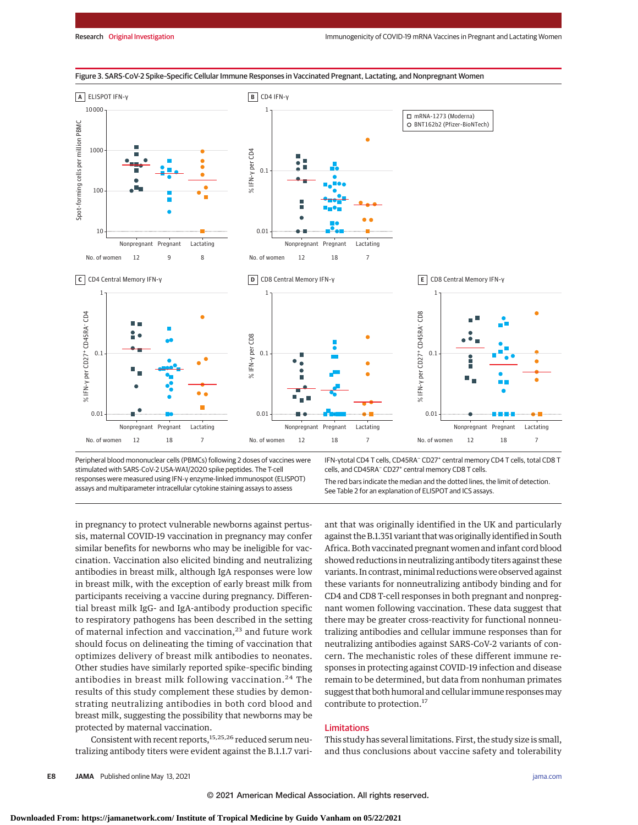

#### Figure 3. SARS-CoV-2 Spike–Specific Cellular Immune Responses in Vaccinated Pregnant, Lactating, and Nonpregnant Women

Peripheral blood mononuclear cells (PBMCs) following 2 doses of vaccines were stimulated with SARS-CoV-2 USA-WA1/2020 spike peptides. The T-cell responses were measured using IFN-γ enzyme-linked immunospot (ELISPOT) assays and multiparameter intracellular cytokine staining assays to assess

IFN-γtotal CD4 T cells, CD45RA− CD27+ central memory CD4 T cells, total CD8 T cells, and CD45RA− CD27+ central memory CD8 T cells.

The red bars indicate the median and the dotted lines, the limit of detection. See Table 2 for an explanation of ELISPOT and ICS assays.

in pregnancy to protect vulnerable newborns against pertussis, maternal COVID-19 vaccination in pregnancy may confer similar benefits for newborns who may be ineligible for vaccination. Vaccination also elicited binding and neutralizing antibodies in breast milk, although IgA responses were low in breast milk, with the exception of early breast milk from participants receiving a vaccine during pregnancy. Differential breast milk IgG- and IgA-antibody production specific to respiratory pathogens has been described in the setting of maternal infection and vaccination,<sup>23</sup> and future work should focus on delineating the timing of vaccination that optimizes delivery of breast milk antibodies to neonates. Other studies have similarly reported spike–specific binding antibodies in breast milk following vaccination.<sup>24</sup> The results of this study complement these studies by demonstrating neutralizing antibodies in both cord blood and breast milk, suggesting the possibility that newborns may be protected by maternal vaccination.

Consistent with recent reports,<sup>15,25,26</sup> reduced serum neutralizing antibody titers were evident against the B.1.1.7 variant that was originally identified in the UK and particularly against the B.1.351 variant thatwas originally identified in South Africa. Both vaccinated pregnant women and infant cord blood showed reductions in neutralizing antibody titers against these variants. In contrast, minimal reductions were observed against these variants for nonneutralizing antibody binding and for CD4 and CD8 T-cell responses in both pregnant and nonpregnant women following vaccination. These data suggest that there may be greater cross-reactivity for functional nonneutralizing antibodies and cellular immune responses than for neutralizing antibodies against SARS-CoV-2 variants of concern. The mechanistic roles of these different immune responses in protecting against COVID-19 infection and disease remain to be determined, but data from nonhuman primates suggest that both humoral and cellular immune responses may contribute to protection.<sup>17</sup>

## Limitations

This study has several limitations. First, the study size is small, and thus conclusions about vaccine safety and tolerability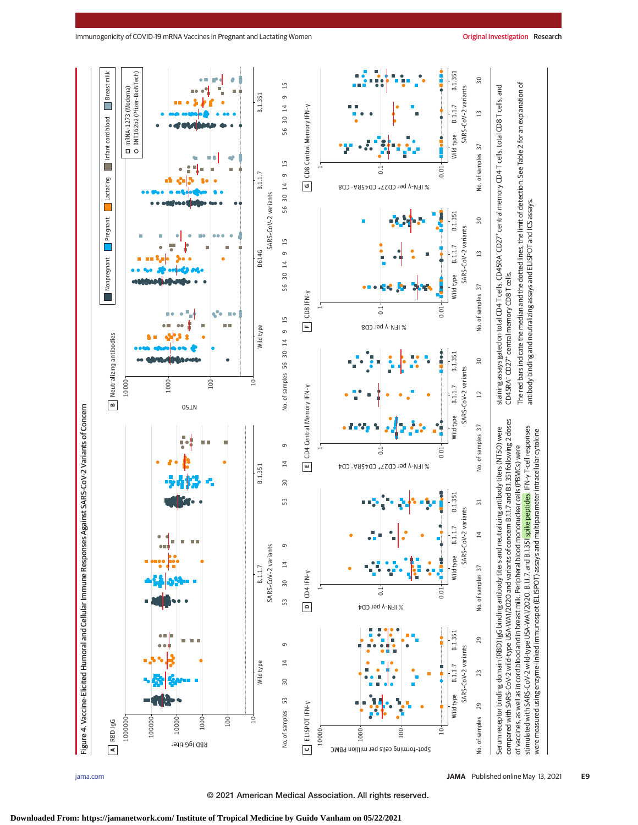

were measured using enzyme-linked immunospot (ELISPOT) assays and multiparameter intracellular cytokine

antibody binding and neutralizing assays and ELISPOT and ICS assays.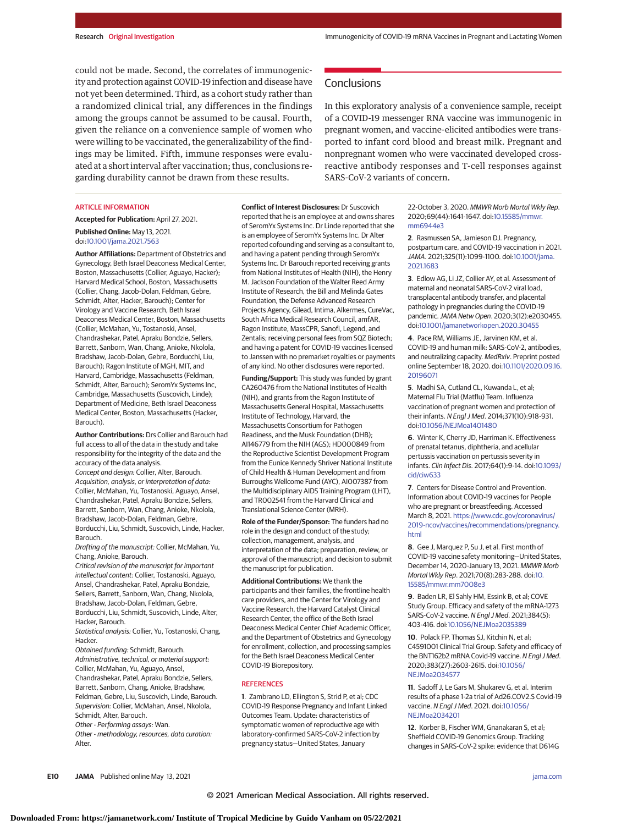could not be made. Second, the correlates of immunogenicity and protection against COVID-19 infection and disease have not yet been determined. Third, as a cohort study rather than a randomized clinical trial, any differences in the findings among the groups cannot be assumed to be causal. Fourth, given the reliance on a convenience sample of women who were willing to be vaccinated, the generalizability of the findings may be limited. Fifth, immune responses were evaluated at a short interval after vaccination; thus, conclusions regarding durability cannot be drawn from these results.

#### ARTICLE INFORMATION

**Accepted for Publication:** April 27, 2021.

#### **Published Online:** May 13, 2021. doi[:10.1001/jama.2021.7563](https://jamanetwork.com/journals/jama/fullarticle/10.1001/jama.2021.7563?utm_campaign=articlePDF%26utm_medium=articlePDFlink%26utm_source=articlePDF%26utm_content=jama.2021.7563)

**Author Affiliations:** Department of Obstetrics and Gynecology, Beth Israel Deaconess Medical Center, Boston, Massachusetts (Collier, Aguayo, Hacker); Harvard Medical School, Boston, Massachusetts (Collier, Chang, Jacob-Dolan, Feldman, Gebre, Schmidt, Alter, Hacker, Barouch); Center for Virology and Vaccine Research, Beth Israel Deaconess Medical Center, Boston, Massachusetts (Collier, McMahan, Yu, Tostanoski, Ansel, Chandrashekar, Patel, Apraku Bondzie, Sellers, Barrett, Sanborn, Wan, Chang, Anioke, Nkolola, Bradshaw, Jacob-Dolan, Gebre, Borducchi, Liu, Barouch); Ragon Institute of MGH, MIT, and Harvard, Cambridge, Massachusetts (Feldman, Schmidt, Alter, Barouch); SeromYx Systems Inc, Cambridge, Massachusetts (Suscovich, Linde); Department of Medicine, Beth Israel Deaconess Medical Center, Boston, Massachusetts (Hacker, Barouch).

**Author Contributions:** Drs Collier and Barouch had full access to all of the data in the study and take responsibility for the integrity of the data and the accuracy of the data analysis.

Concept and design: Collier, Alter, Barouch. Acquisition, analysis, or interpretation of data: Collier, McMahan, Yu, Tostanoski, Aguayo, Ansel, Chandrashekar, Patel, Apraku Bondzie, Sellers, Barrett, Sanborn, Wan, Chang, Anioke, Nkolola, Bradshaw, Jacob-Dolan, Feldman, Gebre, Borducchi, Liu, Schmidt, Suscovich, Linde, Hacker, Barouch.

Drafting of the manuscript: Collier, McMahan, Yu, Chang, Anioke, Barouch.

Critical revision of the manuscript for important intellectual content: Collier, Tostanoski, Aguayo, Ansel, Chandrashekar, Patel, Apraku Bondzie, Sellers, Barrett, Sanborn, Wan, Chang, Nkolola, Bradshaw, Jacob-Dolan, Feldman, Gebre, Borducchi, Liu, Schmidt, Suscovich, Linde, Alter, Hacker, Barouch.

Statistical analysis: Collier, Yu, Tostanoski, Chang, Hacker.

Obtained funding: Schmidt, Barouch. Administrative, technical, or material support: Collier, McMahan, Yu, Aguayo, Ansel, Chandrashekar, Patel, Apraku Bondzie, Sellers, Barrett, Sanborn, Chang, Anioke, Bradshaw, Feldman, Gebre, Liu, Suscovich, Linde, Barouch. Supervision: Collier, McMahan, Ansel, Nkolola, Schmidt, Alter, Barouch. Other - Performing assays: Wan.

Other - methodology, resources, data curation: Alter.

**Conflict of Interest Disclosures:** Dr Suscovich reported that he is an employee at and owns shares of SeromYx Systems Inc. Dr Linde reported that she is an employee of SeromYx Systems Inc. Dr Alter

reported cofounding and serving as a consultant to, and having a patent pending through SeromYx Systems Inc. Dr Barouch reported receiving grants from National Institutes of Health (NIH), the Henry M. Jackson Foundation of the Walter Reed Army Institute of Research, the Bill and Melinda Gates Foundation, the Defense Advanced Research Projects Agency, Gilead, Intima, Alkermes, CureVac, South Africa Medical Research Council, amfAR, Ragon Institute, MassCPR, Sanofi, Legend, and Zentalis; receiving personal fees from SQZ Biotech; and having a patent for COVID-19 vaccines licensed to Janssen with no premarket royalties or payments of any kind. No other disclosures were reported.

**Funding/Support:** This study was funded by grant CA260476 from the National Institutes of Health (NIH), and grants from the Ragon Institute of Massachusetts General Hospital, Massachusetts Institute of Technology, Harvard, the Massachusetts Consortium for Pathogen Readiness, and the Musk Foundation (DHB); AI146779 from the NIH (AGS); HD000849 from the Reproductive Scientist Development Program from the Eunice Kennedy Shriver National Institute of Child Health & Human Development and from Burroughs Wellcome Fund (AYC), AI007387 from the Multidisciplinary AIDS Training Program (LHT), and TR002541 from the Harvard Clinical and Translational Science Center (MRH).

**Role of the Funder/Sponsor:** The funders had no role in the design and conduct of the study; collection, management, analysis, and interpretation of the data; preparation, review, or approval of the manuscript; and decision to submit the manuscript for publication.

**Additional Contributions:** We thank the participants and their families, the frontline health care providers, and the Center for Virology and Vaccine Research, the Harvard Catalyst Clinical Research Center, the office of the Beth Israel Deaconess Medical Center Chief Academic Officer, and the Department of Obstetrics and Gynecology for enrollment, collection, and processing samples for the Beth Israel Deaconess Medical Center COVID-19 Biorepository.

#### **REFERENCES**

**1**. Zambrano LD, Ellington S, Strid P, et al; CDC COVID-19 Response Pregnancy and Infant Linked Outcomes Team. Update: characteristics of symptomatic women of reproductive age with laboratory-confirmed SARS-CoV-2 infection by pregnancy status—United States, January

# **Conclusions**

In this exploratory analysis of a convenience sample, receipt of a COVID-19 messenger RNA vaccine was immunogenic in pregnant women, and vaccine-elicited antibodies were transported to infant cord blood and breast milk. Pregnant and nonpregnant women who were vaccinated developed crossreactive antibody responses and T-cell responses against SARS-CoV-2 variants of concern.

> 22-October 3, 2020. MMWR Morb Mortal Wkly Rep. 2020;69(44):1641-1647. doi[:10.15585/mmwr.](https://dx.doi.org/10.15585/mmwr.mm6944e3) [mm6944e3](https://dx.doi.org/10.15585/mmwr.mm6944e3)

**2**. Rasmussen SA, Jamieson DJ. Pregnancy, postpartum care, and COVID-19 vaccination in 2021. JAMA. 2021;325(11):1099-1100. doi[:10.1001/jama.](https://jamanetwork.com/journals/jama/fullarticle/10.1001/jama.2021.1683?utm_campaign=articlePDF%26utm_medium=articlePDFlink%26utm_source=articlePDF%26utm_content=jama.2021.7563) [2021.1683](https://jamanetwork.com/journals/jama/fullarticle/10.1001/jama.2021.1683?utm_campaign=articlePDF%26utm_medium=articlePDFlink%26utm_source=articlePDF%26utm_content=jama.2021.7563)

**3**. Edlow AG, Li JZ, Collier AY, et al. Assessment of maternal and neonatal SARS-CoV-2 viral load, transplacental antibody transfer, and placental pathology in pregnancies during the COVID-19 pandemic.JAMA Netw Open. 2020;3(12):e2030455. doi[:10.1001/jamanetworkopen.2020.30455](https://jamanetwork.com/journals/jama/fullarticle/10.1001/jamanetworkopen.2020.30455?utm_campaign=articlePDF%26utm_medium=articlePDFlink%26utm_source=articlePDF%26utm_content=jama.2021.7563)

**4**. Pace RM, Williams JE, Jarvinen KM, et al. COVID-19 and human milk: SARS-CoV-2, antibodies, and neutralizing capacity. MedRxiv. Preprint posted online September 18, 2020. doi[:10.1101/2020.09.16.](https://dx.doi.org/10.1101/2020.09.16.20196071) [20196071](https://dx.doi.org/10.1101/2020.09.16.20196071)

**5**. Madhi SA, Cutland CL, Kuwanda L, et al; Maternal Flu Trial (Matflu) Team. Influenza vaccination of pregnant women and protection of their infants. N Engl J Med. 2014;371(10):918-931. doi[:10.1056/NEJMoa1401480](https://dx.doi.org/10.1056/NEJMoa1401480)

**6**. Winter K, Cherry JD, Harriman K. Effectiveness of prenatal tetanus, diphtheria, and acellular pertussis vaccination on pertussis severity in infants. Clin Infect Dis. 2017;64(1):9-14. doi[:10.1093/](https://dx.doi.org/10.1093/cid/ciw633) [cid/ciw633](https://dx.doi.org/10.1093/cid/ciw633)

**7**. Centers for Disease Control and Prevention. Information about COVID-19 vaccines for People who are pregnant or breastfeeding. Accessed March 8, 2021. [https://www.cdc.gov/coronavirus/](https://www.cdc.gov/coronavirus/2019-ncov/vaccines/recommendations/pregnancy.html) [2019-ncov/vaccines/recommendations/pregnancy.](https://www.cdc.gov/coronavirus/2019-ncov/vaccines/recommendations/pregnancy.html) [html](https://www.cdc.gov/coronavirus/2019-ncov/vaccines/recommendations/pregnancy.html)

**8**. Gee J, Marquez P, Su J, et al. First month of COVID-19 vaccine safety monitoring—United States, December 14, 2020-January 13, 2021. MMWR Morb Mortal Wkly Rep. 2021;70(8):283-288. doi[:10.](https://dx.doi.org/10.15585/mmwr.mm7008e3) [15585/mmwr.mm7008e3](https://dx.doi.org/10.15585/mmwr.mm7008e3)

**9**. Baden LR, El Sahly HM, Essink B, et al; COVE Study Group. Efficacy and safety of the mRNA-1273 SARS-CoV-2 vaccine. N Engl J Med. 2021;384(5): 403-416. doi[:10.1056/NEJMoa2035389](https://dx.doi.org/10.1056/NEJMoa2035389)

**10**. Polack FP, Thomas SJ, Kitchin N, et al; C4591001 Clinical Trial Group. Safety and efficacy of the BNT162b2 mRNA Covid-19 vaccine. N Engl J Med. 2020;383(27):2603-2615. doi[:10.1056/](https://dx.doi.org/10.1056/NEJMoa2034577) NF IMoa2034577

**11**. Sadoff J, Le Gars M, Shukarev G, et al. Interim results of a phase 1-2a trial of Ad26.COV2.S Covid-19 vaccine. N Engl J Med. 2021. doi[:10.1056/](https://dx.doi.org/10.1056/NEJMoa2034201) [NEJMoa2034201](https://dx.doi.org/10.1056/NEJMoa2034201)

**12**. Korber B, Fischer WM, Gnanakaran S, et al; Sheffield COVID-19 Genomics Group. Tracking changes in SARS-CoV-2 spike: evidence that D614G